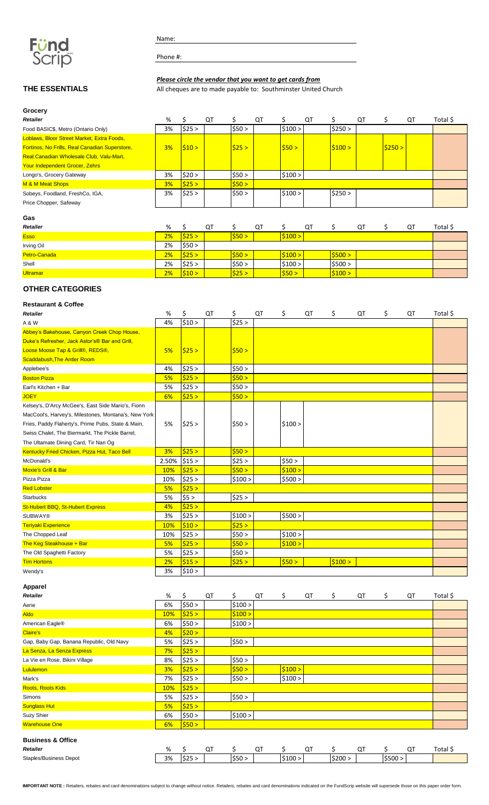

Name:

Phone #:

# *Please circle the vendor that you want to get cards from*

**THE ESSENTIALS** All cheques are to made payable to: Southminster United Church

| Grocery                                               |    |        |    |                |    |         |    |         |    |        |    |          |
|-------------------------------------------------------|----|--------|----|----------------|----|---------|----|---------|----|--------|----|----------|
| <b>Retailer</b>                                       | %  |        | QT |                | QT |         | QT |         | QT |        | QT | Total \$ |
| Food BASIC\$, Metro (Ontario Only)                    | 3% | \$25 > |    | \$50>          |    | \$100 > |    | \$250 > |    |        |    |          |
| Loblaws, Bloor Street Market, Extra Foods,            |    |        |    |                |    |         |    |         |    |        |    |          |
| <b>Fortinos, No Frills, Real Canadian Superstore,</b> | 3% | \$10>  |    | $ $ \$25 >     |    | 550 >   |    | \$100 > |    | \$250> |    |          |
| <b>Real Canadian Wholesale Club, Valu-Mart,</b>       |    |        |    |                |    |         |    |         |    |        |    |          |
| Your Independent Grocer, Zehrs                        |    |        |    |                |    |         |    |         |    |        |    |          |
| Longo's, Grocery Gateway                              | 3% | \$20 > |    | \$50>          |    | \$100 > |    |         |    |        |    |          |
| M & M Meat Shops                                      | 3% | \$25>  |    | $ 550 \rangle$ |    |         |    |         |    |        |    |          |
| Sobeys, Foodland, FreshCo, IGA,                       | 3% | \$25 > |    | \$50>          |    | \$100 > |    | \$250 > |    |        |    |          |
| Price Chopper, Safeway                                |    |        |    |                |    |         |    |         |    |        |    |          |
|                                                       |    |        |    |                |    |         |    |         |    |        |    |          |

# **Gas**

| Retailer        | %  |            | QT |        | QT |         | QT |         | QT | QT | Total \$ |
|-----------------|----|------------|----|--------|----|---------|----|---------|----|----|----------|
| <b>Esso</b>     | 2% | $ $ \$25 > |    | 550 >  |    | \$100 > |    |         |    |    |          |
| Irving Oil      | 2% | \$50>      |    |        |    |         |    |         |    |    |          |
| Petro-Canada    | 2% | $ $ \$25 > |    | 550 >  |    | \$100 > |    | 5500 >  |    |    |          |
| Shell           | 2% | \$25 >     |    | \$50 > |    | \$100 > |    | \$500 > |    |    |          |
| <b>Ultramar</b> | 2% | 510 >      |    | \$25:  |    | \$50 >  |    | \$100 > |    |    |          |

# **OTHER CATEGORIES**

### **Restaurant & Coffee**

| Retailer                                             | %     | \$     | QT | \$      | QT | \$      | QT | \$     | QT | \$<br>QT | Total \$ |
|------------------------------------------------------|-------|--------|----|---------|----|---------|----|--------|----|----------|----------|
| A & W                                                | 4%    | \$10 > |    | \$25 >  |    |         |    |        |    |          |          |
| Abbey's Bakehouse, Canyon Creek Chop House,          |       |        |    |         |    |         |    |        |    |          |          |
| Duke's Refresher, Jack Astor's® Bar and Grill,       |       |        |    |         |    |         |    |        |    |          |          |
| Loose Moose Tap & Grill®, REDS®,                     | 5%    | \$25 > |    | \$50>   |    |         |    |        |    |          |          |
| <b>Scaddabush, The Antler Room</b>                   |       |        |    |         |    |         |    |        |    |          |          |
| Applebee's                                           | 4%    | \$25 > |    | \$50>   |    |         |    |        |    |          |          |
| <b>Boston Pizza</b>                                  | 5%    | \$25 > |    | \$50 >  |    |         |    |        |    |          |          |
| Earl's Kitchen + Bar                                 | 5%    | \$25 > |    | \$50>   |    |         |    |        |    |          |          |
| <b>JOEY</b>                                          | 6%    | \$25 > |    | \$50>   |    |         |    |        |    |          |          |
| Kelsey's, D'Arcy McGee's, East Side Mario's, Fionn   |       |        |    |         |    |         |    |        |    |          |          |
| MacCool's, Harvey's, Milestones, Montana's, New York |       |        |    |         |    |         |    |        |    |          |          |
| Fries, Paddy Flaherty's, Prime Pubs, State & Main,   | 5%    | \$25 > |    | \$50>   |    | \$100 > |    |        |    |          |          |
| Swiss Chalet, The Biermarkt, The Pickle Barrel,      |       |        |    |         |    |         |    |        |    |          |          |
| The Ultamate Dining Card, Tir Nan Óg                 |       |        |    |         |    |         |    |        |    |          |          |
| Kentucky Fried Chicken, Pizza Hut, Taco Bell         | 3%    | \$25>  |    | \$50>   |    |         |    |        |    |          |          |
| McDonald's                                           | 2.50% | \$15 > |    | \$25 >  |    | \$50>   |    |        |    |          |          |
| <b>Moxie's Grill &amp; Bar</b>                       | 10%   | \$25 > |    | \$50>   |    | \$100 > |    |        |    |          |          |
| Pizza Pizza                                          | 10%   | \$25 > |    | \$100 > |    | \$500 > |    |        |    |          |          |
| <b>Red Lobster</b>                                   | 5%    | \$25 > |    |         |    |         |    |        |    |          |          |
| <b>Starbucks</b>                                     | 5%    | \$5 >  |    | \$25 >  |    |         |    |        |    |          |          |
| <b>St-Hubert BBQ, St-Hubert Express</b>              | 4%    | \$25 > |    |         |    |         |    |        |    |          |          |
| <b>SUBWAY®</b>                                       | 3%    | \$25 > |    | \$100 > |    | \$500 > |    |        |    |          |          |
| <b>Teriyaki Experience</b>                           | 10%   | \$10 > |    | \$25 >  |    |         |    |        |    |          |          |
| The Chopped Leaf                                     | 10%   | \$25 > |    | \$50 >  |    | \$100 > |    |        |    |          |          |
| The Keg Steakhouse + Bar                             | 5%    | \$25 > |    | \$50 >  |    | \$100 > |    |        |    |          |          |
| The Old Spaghetti Factory                            | 5%    | \$25 > |    | \$50 >  |    |         |    |        |    |          |          |
| <b>Tim Hortons</b>                                   | 2%    | \$15 > |    | \$25 >  |    | \$50 >  |    | 5100 > |    |          |          |
| Wendy's                                              | 3%    | \$10 > |    |         |    |         |    |        |    |          |          |

#### **Apparel**

| Retailer                                 | %   | Ś      | QT | \$      | QT | \$      | QT | \$.     | QT | \$      | QT | Total \$ |
|------------------------------------------|-----|--------|----|---------|----|---------|----|---------|----|---------|----|----------|
| Aerie                                    | 6%  | \$50 > |    | \$100 > |    |         |    |         |    |         |    |          |
| <b>Aldo</b>                              | 10% | \$25 > |    | \$100 > |    |         |    |         |    |         |    |          |
| American Eagle®                          | 6%  | \$50 > |    | \$100 > |    |         |    |         |    |         |    |          |
| Claire's                                 | 4%  | \$20 > |    |         |    |         |    |         |    |         |    |          |
| Gap, Baby Gap, Banana Republic, Old Navy | 5%  | \$25 > |    | \$50 >  |    |         |    |         |    |         |    |          |
| La Senza, La Senza Express               | 7%  | \$25 > |    |         |    |         |    |         |    |         |    |          |
| La Vie en Rose, Bikini Village           | 8%  | \$25 > |    | \$50 >  |    |         |    |         |    |         |    |          |
| <b>Lululemon</b>                         | 3%  | \$25 > |    | \$50 >  |    | 5100 >  |    |         |    |         |    |          |
| Mark's                                   | 7%  | \$25 > |    | \$50 >  |    | \$100 > |    |         |    |         |    |          |
| <b>Roots, Roots Kids</b>                 | 10% | \$25 > |    |         |    |         |    |         |    |         |    |          |
| Simons                                   | 5%  | \$25 > |    | \$50 >  |    |         |    |         |    |         |    |          |
| <b>Sunglass Hut</b>                      | 5%  | \$25 > |    |         |    |         |    |         |    |         |    |          |
| Suzy Shier                               | 6%  | \$50 > |    | \$100 > |    |         |    |         |    |         |    |          |
| <b>Warehouse One</b>                     | 6%  | \$50 > |    |         |    |         |    |         |    |         |    |          |
| <b>Business &amp; Office</b>             |     |        |    |         |    |         |    |         |    |         |    |          |
| Retailer                                 | %   | Ś      | QT | \$      | QT | \$      | QT | \$      | QT | \$.     | QT | Total \$ |
| <b>Staples/Business Depot</b>            | 3%  | \$25 > |    | \$50 >  |    | \$100 > |    | \$200 > |    | \$500 > |    |          |

**IMPORTANT NOTE :** Retailers, rebates and card denominations subject to change without notice. Retailers, rebates and card denominations indicated on the FundScrip website will supersede those on this paper order form.